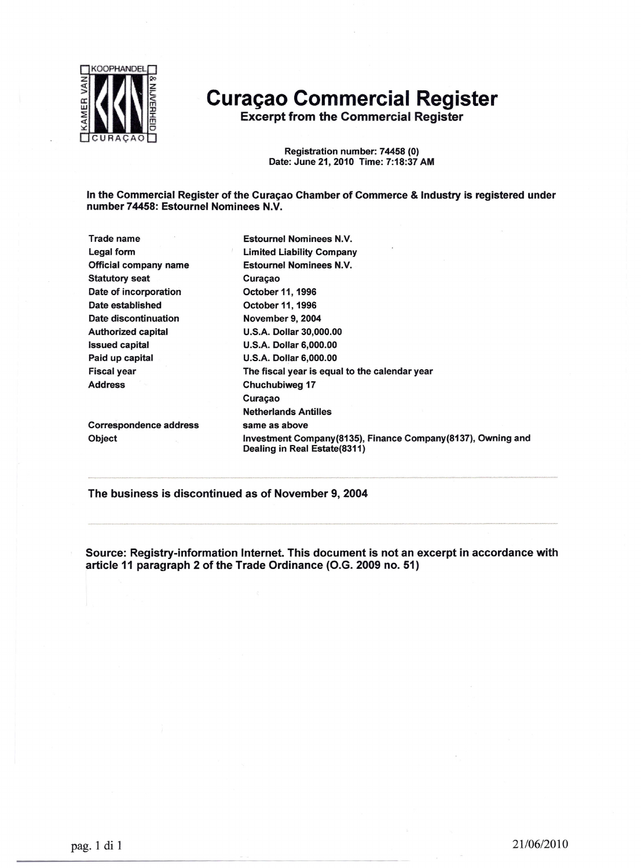

## **Curaçao Commerciai Register**

**Excerpt from the Commercial Register** 

Registration number: 74458 (O) Date: June 21,2010 Time: 7:18:37 AM

In the Commerciai Register of the Curaçao Chamber of Commerce & Industry is registered under number 74458: Estournel Nominees N.V.

Trade name Legai form Official company name Statutory seat Date of incorporation Date established Date discontinuation Authorized capital Issued capital Paid up capital Fiscal year Address Estournel Nominees N.V. Limited Liability Company Estournel Nominees N.V. Curaçao October 11, 1996 October 11, 1996 November 9, 2004 U.S.A. Dollar 30,000.00 U.S.A. Dollar 6,000.00 U.S.A. Dollar 6,000.00 The fiscal year is equal to the calendar year Chuchubiweg 17 Curaçao Netherlands Antilles same as above Investment Company(8135), Finance Company(8137), Owning and Dealing in Real Estate(8311) Correspondence address Object

The business is discontinued as of November 9, 2004

Source: Registry-information Internet. This document is not an excerpt in accordance with article 11 paragraph 2 of the Trade Ordinance (O.G. 2009 no. 51)